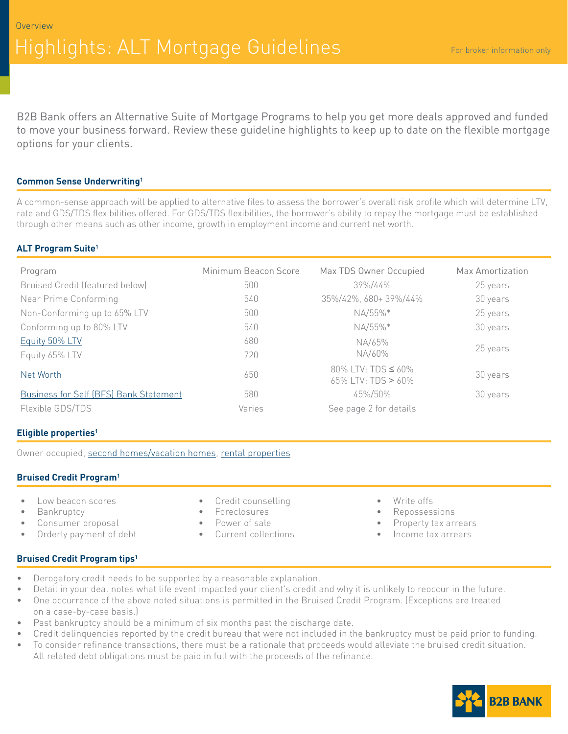B2B Bank offers an Alternative Suite of Mortgage Programs to help you get more deals approved and funded to move your business forward. Review these guideline highlights to keep up to date on the flexible mortgage options for your clients.

## **Common Sense Underwriting1**

A common-sense approach will be applied to alternative files to assess the borrower's overall risk profile which will determine LTV, rate and GDS/TDS flexibilities offered. For GDS/TDS flexibilities, the borrower's ability to repay the mortgage must be established through other means such as other income, growth in employment income and current net worth.

## **ALT Program Suite1**

| Program                                       | Minimum Beacon Score | Max TDS Owner Occupied                         | Max Amortization |
|-----------------------------------------------|----------------------|------------------------------------------------|------------------|
| Bruised Credit (featured below)               | 500                  | 39%/44%                                        | 25 years         |
| Near Prime Conforming                         | 540                  | 35%/42%, 680+39%/44%                           | 30 years         |
| Non-Conforming up to 65% LTV                  | 500                  | NA/55%*                                        | 25 years         |
| Conforming up to 80% LTV                      | 540                  | NA/55%*                                        | 30 years         |
| Equity 50% LTV                                | 680                  | NA/65%                                         |                  |
| Equity 65% LTV                                | 720                  | NA/60%                                         | 25 years         |
| Net Worth                                     | 650                  | 80% LTV: TDS $\leq 60\%$<br>65% LTV: TDS > 60% | 30 years         |
| <b>Business for Self (BFS) Bank Statement</b> | 580                  | 45%/50%                                        | 30 years         |
| Flexible GDS/TDS                              | Varies               | See page 2 for details                         |                  |

# **Eligible properties1**

Owner occupied, [second homes/vacation homes,](https://b2bbank.com/sn_uploads/marketing/603-08-211E_Vacation-Secondary-Properties_ENG_07-07-20.pdf) [rental properties](https://b2bbank.com/sn_uploads/marketing/603-08-209E_Rental-Property_ENG_07-07-20_1.pdf)

## **Bruised Credit Program1**

- Low beacon scores
- **Bankruptcy**
- Consumer proposal
- Orderly payment of debt

# **Bruised Credit Program tips1**

- Derogatory credit needs to be supported by a reasonable explanation.
- Detail in your deal notes what life event impacted your client's credit and why it is unlikely to reoccur in the future.
- One occurrence of the above noted situations is permitted in the Bruised Credit Program. (Exceptions are treated on a case-by-case basis.)
- Past bankruptcy should be a minimum of six months past the discharge date.
- Credit delinquencies reported by the credit bureau that were not included in the bankruptcy must be paid prior to funding.
- To consider refinance transactions, there must be a rationale that proceeds would alleviate the bruised credit situation. All related debt obligations must be paid in full with the proceeds of the refinance.
- Credit counselling
- Foreclosures
- Power of sale
- Current collections
- Write offs
- Repossessions
- Property tax arrears
- Income tax arrears